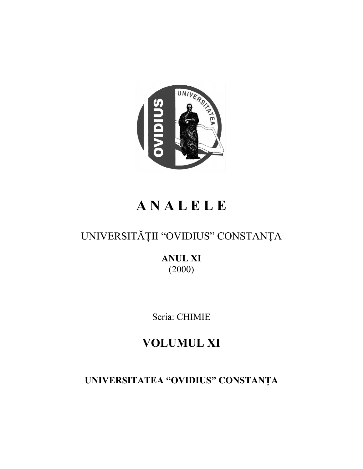

# **A N A L E L E**

## UNIVERSITĂŢII "OVIDIUS" CONSTANŢA

**ANUL XI** (2000)

Seria: CHIMIE

## **VOLUMUL XI**

**UNIVERSITATEA "OVIDIUS" CONSTANŢA**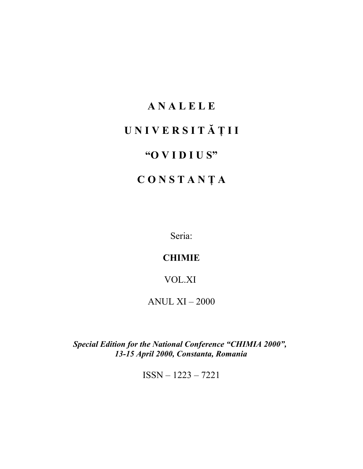# **A N A L E L E U N I V E R S I T Ă Ţ I I "O V I D I U S" C O N S T A N Ţ A**

Seria:

## **CHIMIE**

### VOL.XI

ANUL XI – 2000

*Special Edition for the National Conference "CHIMIA 2000", 13-15 April 2000, Constanta, Romania*

ISSN – 1223 – 7221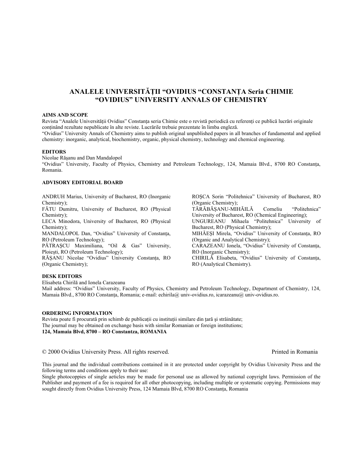#### **ANALELE UNIVERSITĂŢII "OVIDIUS "CONSTANŢA Seria CHIMIE "OVIDIUS" UNIVERSITY ANNALS OF CHEMISTRY**

#### **AIMS AND SCOPE**

Revista "Analele Universității Ovidius" Constanța seria Chimie este o revistă periodică cu referenți ce publică lucrări originale conţinând rezultate nepublicate în alte reviste. Lucrările trebuie prezentate în limba engleză. "Ovidius" University Annals of Chemistry aims to publish original unpublished papers in all branches of fundamental and applied chemistry: inorganic, analytical, biochemistry, organic, physical chemistry, technology and chemical engineering.

#### **EDITORS**

Nicolae Răşanu and Dan Mandalopol

"Ovidius" University, Faculty of Physics, Chemistry and Petroleum Technology, 124, Mamaia Blvd., 8700 RO Constanta, Romania.

#### **ADVISORY EDITORIAL BOARD**

ANDRUH Marius, University of Bucharest, RO (Inorganic Chemistry);

FĂTU Dumitru, University of Bucharest, RO (Physical Chemistry);

LECA Minodora, University of Bucharest, RO (Physical Chemistry);

MANDALOPOL Dan, "Ovidius" University of Constanţa, RO (Petroleum Technology);

PĂTRAŞCU Maximiliana, "Oil & Gas" University, Ploieşti, RO (Petroleum Technology);

RĂȘANU Nicolae "Ovidius" University Constanta, RO (Organic Chemistry);

ROŞCA Sorin "Politehnica" University of Bucharest, RO (Organic Chemistry); TĂRĂBĂŞANU-MIHĂILĂ Corneliu "Politehnica" University of Bucharest, RO (Chemical Engineering); UNGUREANU Mihaela "Politehnica" University of Bucharest, RO (Physical Chemistry); MIHĂEŞI Mirela, "Ovidius" University of Constanţa, RO (Organic and Analytical Chemistry); CARAZEANU Ionela, "Ovidius" University of Constanta, RO (Inorganic Chemistry); CHIRILĂ Elisabeta, "Ovidius" University of Constanta, RO (Analytical Chemistry).

#### **DESK EDITORS**

Elisabeta Chirilă and Ionela Carazeanu

Mail address: "Ovidius" University, Faculty of Physics, Chemistry and Petroleum Technology, Department of Chemistry, 124, Mamaia Blvd., 8700 RO Constanța, Romania; e-mail: echirila@ univ-ovidius.ro, icarazeanu@ univ-ovidius.ro.

#### **ORDERING INFORMATION**

Revista poate fi procurată prin schimb de publicații cu instituții similare din țară și străinătate; The journal may be obtained on exchange basis with similar Romanian or foreign institutions; **124, Mamaia Blvd, 8700 – RO Constantza, ROMANIA**

© 2000 Ovidius University Press. All rights reserved. Printed in Romania

This journal and the individual contributions contained in it are protected under copyright by Ovidius University Press and the following terms and conditions apply to their use:

Single photocoppies of single aeticles may be made for personal use as allowed by national copyright laws. Permission of the Publisher and payment of a fee is required for all other photocopying, including multiple or systematic copying. Permissions may sought directly from Ovidius University Press, 124 Mamaia Blvd, 8700 RO Constanța, Romania